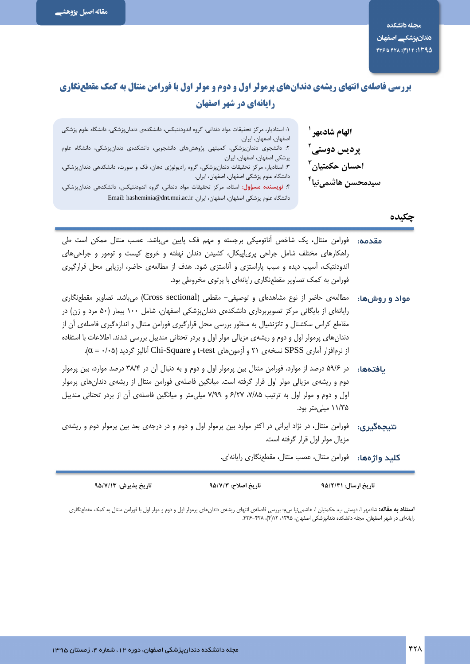# بررسی فاصلهی انتهای ریشهی دندانهای پرمولر اول و دوم و مولر اول با فورامن منتال به کمک مقطعنگاری رایانهای در شهر اصفهان

| ۱: استادیار، مرکز تحقیقات مواد دندانی، گروه اندودنتیکس، دانشکدهی دندانپزشکی، دانشگاه علوم پزشکی<br>اصفهان، اصفهان، ايران.                                                    | الهام شادمهر <sup>ا</sup>            |
|------------------------------------------------------------------------------------------------------------------------------------------------------------------------------|--------------------------------------|
| ۲: دانشجوی دندانپزشکی، کمیتهی پژوهشهای دانشجویی، دانشکدهی دندانپزشکی، دانشگاه علوم<br>پزشکی اصفهان، اصفهان، ایران.                                                           | پردیس دوستی آ                        |
| ۳: استادیار، مرکز تحقیقات دندانپزشکی، گروه رادیولوژی دهان، فک و صورت، دانشکدهی دندانپزشکی،<br>دانشگاه علوم پزشکی اصفهان، اصفهان، ایران.                                      | احسان حکمتیان <sup>۳</sup>           |
| ۴: <b>نویسنده مسؤول:</b> استاد، مرکز تحقیقات مواد دندانی، گروه اندودنتیکس، دانشکدهی دندانپزشکی،<br>دانشگاه علوم پزشکی اصفهان، اصفهان، ایران. Email: hasheminia@dnt.mui.ac.ir | سيدمحسن هاشمى <b>نيا<sup>۴</sup></b> |
|                                                                                                                                                                              | چکیده                                |

| <b>مقدمه:</b> فورامن منتال، یک شاخص آناتومیکی برجسته و مهم فک پایین میباشد. عصب منتال ممکن است طی<br>راهکارهای مختلف شامل جراحی پری پیکال، کشیدن دندان نهفته و خروج کیست و تومور و جراحیهای<br>اندودنتیک، آسیب دیده و سبب پاراستزی و آناستزی شود. هدف از مطالعهی حاضر، ارزیابی محل قرارگیری<br>فورامن به کمک تصاویر مقطعنگاری رایانهای با پرتوی مخروطی بود.                                                                                                                                                              |  |
|--------------------------------------------------------------------------------------------------------------------------------------------------------------------------------------------------------------------------------------------------------------------------------------------------------------------------------------------------------------------------------------------------------------------------------------------------------------------------------------------------------------------------|--|
| <b>مواد و روشها:</b> مطالعهی حاضر از نوع مشاهدهای و توصیفی– مقطعی (Cross sectional) میباشد. تصاویر مقطعنگاری<br>رایانهای از بایگانی مرکز تصویربرداری دانشکدهی دندانپزشکی اصفهان، شامل ۱۰۰ بیمار (۵۰ مرد و زن) در<br>مقاطع کراس سکشنال و تانژنشیال به منظور بررسی محل قرارگیری فورامن منتال و اندازهگیری فاصلهی آن از<br>دندانهای پرمولر اول و دوم و ریشهی مزیالی مولر اول و بردر تحتانی مندیبل بررسی شدند. اطلاعات با استفاده<br>از نرمافزار آماری SPSS نسخهی ۲۱ و آزمونهای t-test و Chi-Square آنالیز گردید (α = ٠/٠۵). |  |
| <b>یافتهها:</b> در ۵۹/۶ درصد از موارد، فورامن منتال بین پرمولر اول و دوم و به دنبال آن در ۳۸/۴ درصد موارد، بین پرمولر<br>دوم و ریشهی مزیالی مولر اول قرار گرفته است. میانگین فاصلهی فورامن منتال از ریشهی دندانهای پرمولر<br>اول و دوم و مولر اول به ترتیب ۷/۸۵، ۶/۲۷ و ۷/۹۹ میلیمتر و میانگین فاصلهی آن از بردر تحتانی مندیبل<br>۱۱/۳۵ میلی متر بود.                                                                                                                                                                    |  |
| <b>نتیجهگیری:</b> فورامن منتال، در نژاد ایرانی در اکثر موارد بین پرمولر اول و دوم و در درجهی بعد بین پرمولر دوم و ریشهی<br>مزيال مولر اول قرار گرفته است.                                                                                                                                                                                                                                                                                                                                                                |  |
| <b>کلید واژهها:</b> فورامن منتال، عصب منتال، مقطعنگاری رایانهای.                                                                                                                                                                                                                                                                                                                                                                                                                                                         |  |

تاريخ اصلاح: ٩۵/٧/٣ تاريخ ارسال: ٩٥/٢/٣١

تاريخ پذيرش: ٩۵/٧/١٣

**استناد به مقاله:** شادمهر ا، دوستی پ، حکمتیان ا، هاشمینیا سم: بررسی فاصلهی انتهای رشدار اول و دوم و وار وال با فورامن منتال به کمک مقطعنگاری<br>رایانهای در شهر اصفهان. مجله دانشکده دندانپزشکی اصفهان، ۱۳۹۵، ۱۲۱(۴)، ۴۲۸–۳۴۶.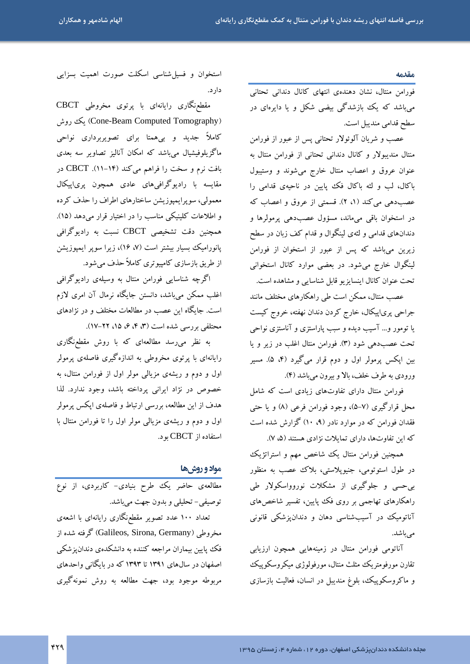#### مقدمه

فورامن منتال، نشان دهندهی انتهای کانال دندانی تحتانی می باشد که یک بازشدگی بیضی شکل و یا دایرهای در سطح قدامی مندیبل است.

عصب و شریان آلوئولار تحتانی پس از عبور از فورامن منتال مندیبولار و کانال دندانی تحتانی از فورامن منتال به عنوان عروق و اعصاب منتال خارج مى شوند و وستيبول باکال، لب و لثه باکال فک پایین در ناحیهی قدامی را عصب دهی می کند (۱، ۲). قسمتی از عروق و اعصاب که در استخوان باقی میماند، مسؤول عصبدهی پرمولرها و دندانهای قدامی و لثهی لینگوال و قدام کف زبان در سطح زیرین می باشد که پس از عبور از استخوان از فورامن لینگوال خارج میشود. در بعضی موارد کانال استخوانی تحت عنوان كانال اينسايزيو قابل شناسايي و مشاهده است.

عصب منتال، ممکن است طی راهکارهای مختلف مانند جراحی پری|پیکال، خارج کردن دندان نهفته، خروج کیست یا تومور و… آسیب دیده و سبب پاراستزی و آناستزی نواحی تحت عصبدهی شود (۳). فورامن منتال اغلب در زیر و یا بین اپکس پرمولر اول و دوم قرار میگیرد (۴، ۵). مسیر ورودي به طرف خلف، بالا وبيرون مي باشد (۴).

فورامن منتال دارای تفاوتهای زیادی است که شامل محل قرارگیری (۷-۵)، وجود فورامن فرعی (۸) و یا حتبی فقدان فورامن که در موارد نادر (۹، ۱۰) گزارش شده است که این تفاوتها، دارای تمایلات نژادی هستند (۵، ۷).

همچنین فورامن منتال یک شاخص مهم و استراتژیک در طول استوتومي، جنيويلاستي، بلاك عصب به منظور بی حسی و جلوگیری از مشکلات نوروواسکولار طی راهکارهای تهاجمی بر روی فک پایین، تفسیر شاخصهای آناتومیک در آسیبشناسی دهان و دندان یزشکی قانونی مے ماشد.

آناتومی فورامن منتال در زمینههایی همچون ارزیابی تقارن مورفومتريك مثلث منتال، مورفولوژي ميكروسكوييك و ماکروسکوپیک، بلوغ مندیبل در انسان، فعالیت بازسازی

استخوان و فسیل شناسی اسکلت صورت اهمیت بسزایی دار د.

مقطع،نگاری رایانهای با پرتوی مخروطی CBCT (Cone-Beam Computed Tomography) یک روش کاملاً جدید و بیهعتا برای تصویربرداری نواحی ماگزیلوفیشیال میباشد که امکان آنالیز تصاویر سه بعدی بافت نرم و سخت را فراهم میکند (۱۴-۱۱). CBCT در مقایسه با رادیوگرافیهای عادی همچون پری|پیکال معمولی، سوپرایمپوزیشن ساختارهای اطراف را حذف کرده و اطلاعات کلینیکی مناسب را در اختیار قرار میدهد (۱۵). همچنین دقت تشخیصی CBCT نسبت به رادیوگرافی پانورامیک بسیار بیشتر است (۷، ۱۶)، زیرا سوپر ایمپوزیشن از طریق بازسازی کامپیو تری کاملاً حذف می شود.

اگرچه شناسایی فورامن منتال به وسیلهی رادیوگرافی اغلب ممکن میباشد، دانستن جایگاه نرمال آن امری لازم است. جایگاه این عصب در مطالعات مختلف و در نژادهای محتلفی بررسی شده است (۳، ۴، ۶، ۱۵، ۲۲-۱۷).

به نظر می رسد مطالعهای که با روش مقطع،نگاری رایانهای با پرتوی مخروطی به اندازهگیری فاصلهی پرمولر اول و دوم و ریشهی مزیالی مولر اول از فورامن منتال، به خصوص در نژاد ایرانی پرداخته باشد، وجود ندارد. لذا هدف از این مطالعه، بررسی ارتباط و فاصلهی ایکس پرمولر اول و دوم و ریشهی مزیالی مولر اول را تا فورامن منتال با استفاده از CBCT بو د.

### مواد و روشها

.<br>مطالعهی حاضر یک طرح بنیادی- کاربردی، از نوع توصيفي- تحليلي و بدون جهت مي باشد.

تعداد ۱۰۰ عدد تصویر مقطع:گاری رایانهای با اشعهی مخروطي (Galileos, Sirona, Germany) گرفته شده از فک پایین بیماران مراجعه کننده به دانشکدهی دندان یز شکی اصفهان در سالهای ۱۳۹۱ تا ۱۳۹۳ که در بایگانی واحدهای مربوطه موجود بود، جهت مطالعه به روش نمونهگیری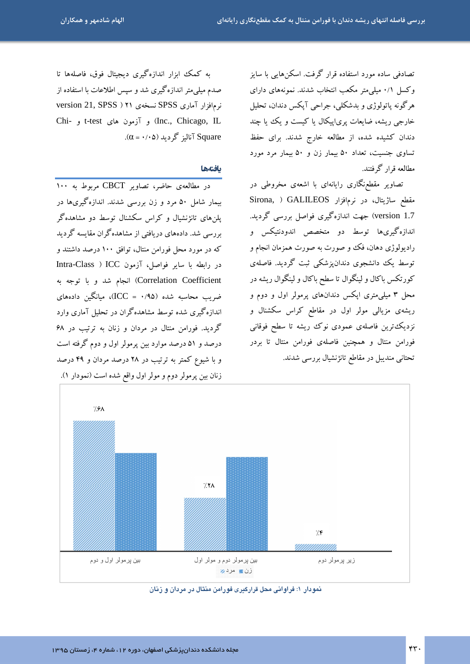تصادفی ساده مورد استفاده قرار گرفت. اسکن هایی با سایز وکسل ۰/۱ میلی متر مکعب انتخاب شدند. نمونههای دارای هرگونه پاتولوژی و بدشکلی، جراحی آپکس دندان، تحلیل خارجی ریشه، ضایعات پری|پیکال یا کیست و یک یا چند دندان کشیده شده، از مطالعه خارج شدند. برای حفظ تساوی جنسیت، تعداد ۵۰ بیمار زن و ۵۰ بیمار مرد مورد مطالعه قرار گرفتند.

تصاویر مقطع،نگاری رایانهای با اشعهی مخروطی در Sirona, ) GALILEOS مقطع ساژيتال، در نرمافزار version 1.7) جهت اندازهگیری فواصل بررسی گردید. اندازهگیریها توسط دو متخصص اندودنتیکس و رادیولوژی دهان، فک و صورت به صورت همزمان انجام و توسط یک دانشجوی دندانپزشکی ثبت گردید. فاصلهی کورتکس باکال و لینگوال تا سطح باکال و لینگوال ریشه در محل ۳ میلی متری اپکس دندانهای پرمولر اول و دوم و ریشهی مزیالی مولر اول در مقاطع کراس سکشنال و نزدیک ترین فاصلهی عمودی نوک ریشه تا سطح فوقانی فورامن منتال و همچنین فاصلهی فورامن منتال تا بردر تحتانی مندیبل در مقاطع تانژنشیال بررسی شدند.

به کمک ابزار اندازهگیری دیجیتال فوق، فاصلهها تا صدم میلی متر اندازهگیری شد و سپس اطلاعات با استفاده از نرمافزار آماری SPSS نسخهی ۲۱ ( version 21, SPSS Chi- و آزمون های t-test و -test  $(\alpha = \cdot / \cdot \Delta)$  آنالہز گر دید (۵۰/۰۵).

### بافتهها

در مطالعهى حاضر، تصاوير CBCT مربوط به ١٠٠ بیمار شامل ۵۰ مرد و زن بررسی شدند. اندازهگیریها در پلن های تانژنشیال و کراس سکشنال توسط دو مشاهدهگر بررسی شد. دادههای دریافتی از مشاهدهگران مقایسه گردید که در مورد محل فورامن منتال، توافق ۱۰۰ درصد داشتند و در رابطه با سایر فواصل، آزمون Intra-Class ) ICC Correlation Coefficient) انجام شد و با توجه به ضریب محاسبه شده (۱٬۹۵ = ICC)، میانگین دادههای اندازهگیری شده توسط مشاهدهگران در تحلیل آماری وارد گردید. فورامن منتال در مردان و زنان به ترتیب در ۶۸ درصد و ۵۱ درصد موارد بین پرمولر اول و دوم گرفته است و با شیوع کمتر به ترتیب در ۲۸ درصد مردان و ۴۹ درصد زنان بین پرمولر دوم و مولر اول واقع شده است (نمودار ۱).



نمودار ۱: فراوانی محل قرارگیری فورامن منتال در مردان و زنان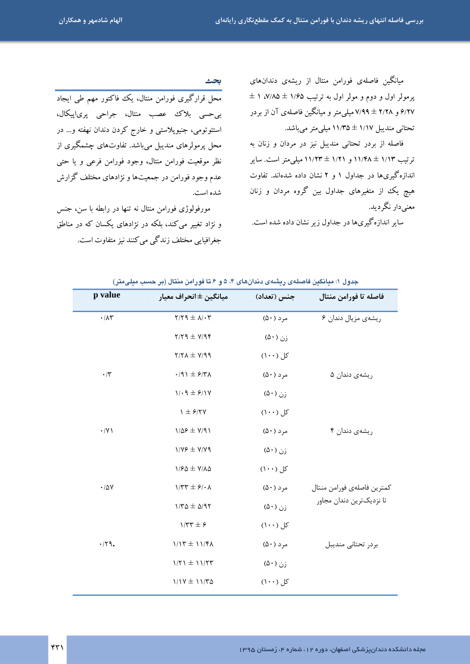۔<br>محل قرارگیری فورامن منتال، یک فاکتور مهم طی ایجاد

بی حسی بلاک عصب منتال، جراحی پریاپیکال،

استئوتومي، جنيويلاستې و خارج كړدن دندان نهفته و... در

محل پرمولرهای مندیبل میباشد. تفاوتهای چشمگیری از

نظر موقعیت فورامن منتال، وجود فورامن فرعی و یا حتبی

عدم وجود فورامن در جمعیتها و نژادهای مختلف گزارش

مورفولوژی فورامن منتال نه تنها در رابطه با سن، جنس

و نژاد تغییر می کند، بلکه در نژادهای یکسان که در مناطق

جغرافیایی مختلف زندگی می کنند نیز متفاوت است.

میانگین فاصلهی فورامن منتال از ریشهی دندانهای  $\pm$  ۱ ، ۷/۸۵  $\pm$  ۱/۶۵ پرمولر اول به ترتیب ۶/۲۷ و ۲/۲۸ ± ۷/۹۹ میلی متر و میانگین فاصلهی آن از بردر تحتانی مندیبل ۱/۱۷ ± ۱۱/۳۵ میلی متر می باشد.

فاصله از بردر تحتانی مندیبل نیز در مردان و زنان به ترتیب ۱/۱۳ ± ۱۱/۴۸ و ۱/۲۱ ± ۱۱/۲۳ میلی متر است. سایر اندازهگیریها در جداول ۱ و ۲ نشان داده شدهاند. تفاوت هیچ یک از متغیرهای جداول بین گروه مردان و زنان معنے دار نگر دید.

سایر اندازهگیریها در جداول زیر نشان داده شده است.

p value فاصله تا فورامن منتال ميانگين ± انحر اف معيار جنس (تعداد)  $Y/Y$ ۹  $\pm \lambda$ / $\cdot$ ۳ مرد (۵۰) ریشهی مزیال دندان ۶  $\cdot/\lambda\tau$  $Y/YQ \pm Y/q \epsilon$ زن (۵۰)  $Y/Y\Lambda \pm Y/99$ کل (۱۰۰)  $\cdot$ /٣  $.91 \pm 97$  $(\Delta \cdot)$  مرد ریشەی دندان ۵  $1/\cdot 9 \pm 5/17$ زن (۵۰)  $\gamma \pm 5.7V$ کل (۱۰۰)  $\cdot$ /Y)  $1/\Delta F \pm V/91$  $(\Delta \cdot)$  مرد ریشەی دندان ۴  $1/Y$   $\neq$   $Y/Y$  9 زن (۵۰)  $1/50 \pm V/\lambda \Delta$ کل (۱۰۰)  $\cdot/\Delta V$  $1/\tau\tau \pm \epsilon/\epsilon$  $(\Delta \cdot)$  مرد كمترين فاصلهى فورامن منتال تا نزدیکترین دندان مجاور  $1/T\Delta \pm \Delta/9T$  $(\Delta \cdot)$ ;  $1/5 + 5$ کل (۱۰۰)  $\cdot$ /٢٩.  $1/17 \pm 11/5$  $(\Delta \cdot)$  مرد بردر تحتانى منديبل  $1/51 \pm 11/57$ زن (۵۰) کل (۱۰۰)  $1/1Y \pm 11/T\Delta$ 

جدول ۱: میانگین فاصلهی ریشهی دندانهای ۴، ۵ و ۶ تا فورامن منتال (بر حسب میلیمتر)

بحث

شده است.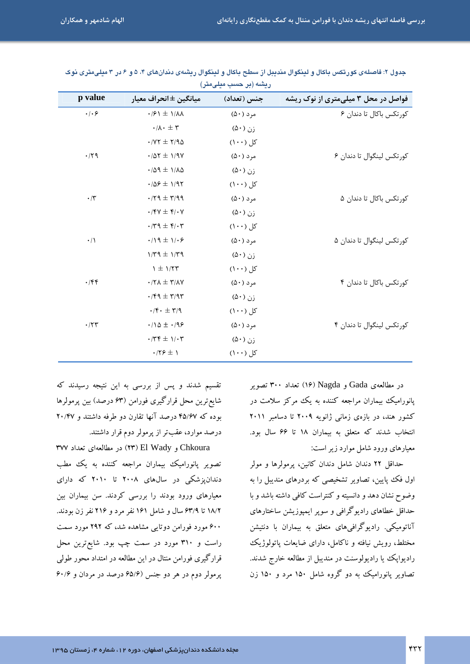| p value                   | ميانگين ±انحراف معيار                                     | جنس (تعداد)          | فواصل در محل ۳ میلیمتری از نوک ریشه |
|---------------------------|-----------------------------------------------------------|----------------------|-------------------------------------|
| $\cdot$ / $\cdot$ $\circ$ | $\cdot$ / $\mathcal{S}$ \ $\pm$ \/ $\Lambda\Lambda$       | مرد (۵۰)             | کورتکس باکال تا دندان ۶             |
|                           | $\cdot/\lambda \cdot \pm \tau$                            | زن (۵۰)              |                                     |
|                           | $\cdot$ /vr $\pm$ 7/94                                    | کل (۱۰۰)             |                                     |
| $\cdot$ /٢٩               | $\cdot$ /07 $\pm$ 1/97                                    | مرد (۵۰)             | کورتکس لینگوال تا دندان ۶           |
|                           | $\cdot$ /09 $\pm$ 1/10                                    | زن (۵۰)              |                                     |
|                           | $\cdot$ /09 ± 1/97                                        | کل (۱۰۰)             |                                     |
| $\boldsymbol{\cdot}$ /٢   | $\cdot$ /۲۹ $\pm$ ۳/۹۹                                    | $(\Delta \cdot)$ مرد | کورتکس باکال تا دندان ۵             |
|                           | $\cdot$ /۴۷ $\pm$ ۴/ $\cdot$ ۷                            | زن (۵۰)              |                                     |
|                           | $\cdot$ /۳۹ $\pm$ ۴/ $\cdot$ ۳                            | کل (۱۰۰)             |                                     |
| $\cdot/\wedge$            | $\cdot/\iota$ + $\iota/\iota$                             | $(\Delta \cdot)$ مرد | کورتکس لینگوال تا دندان ۵           |
|                           | $1/\tau q \pm 1/\tau q$                                   | زن (۵۰)              |                                     |
|                           | $\gamma \pm \gamma/\tau \tau$                             | کل (۱۰۰)             |                                     |
| $\cdot$ /۴۴               | $\cdot$ /۲ $\Lambda$ $\pm$ ۳/۸ $\gamma$                   | $(\Delta \cdot)$ مرد | کورتکس باکال تا دندان ۴             |
|                           | $\cdot$ /۴۹ $\pm$ ۳/۹۳                                    | زن (۵۰)              |                                     |
|                           | $\cdot/\mathfrak{f}\cdot\,\pm\,\mathfrak{r}/\mathfrak{q}$ | کل (۱۰۰)             |                                     |
| $\cdot$ /٢٣               | $\cdot/\Omega \pm \cdot/\Omega$ ۶                         | مرد (۵۰)             | کورتکس لینگوال تا دندان ۴           |
|                           | $\cdot$ /٣۴ $\pm$ 1/ $\cdot$ ٣                            | زن (۵۰)              |                                     |
|                           | $\cdot$ /۲۶ $\pm$ 1                                       | کل (۱۰۰)             |                                     |
|                           |                                                           |                      |                                     |

جدول ۲: فاصلهى كورتكس باكال و لينگوال منديبل از سطح باكال و لينگوال ريشهى دندانهاى ۴، ۵ و ۶ در ۳ ميلىمترى نوک ريشه (پر حسب ميلي متر)

در مطالعهى Gada و Ne) Nagda نعداد ۳۰۰ تصوير یانورامیک بیماران مراجعه کننده به یک مرکز سلامت در کشور هند، در بازهی زمانی ژانویه ۲۰۰۹ تا دسامبر ۲۰۱۱ انتخاب شدند که متعلق به بیماران ۱۸ تا ۶۶ سال بود. معیارهای ورود شامل موارد زیر است:

حداقل ۲۲ دندان شامل دندان کانین، پرمولرها و مولر اول فک پایین، تصاویر تشخیصی که بردرهای مندیبل را به وضوح نشان دهد و دانسیته و کنتراست کافی داشته باشد و با حداقل خطاهای رادیوگرافی و سوپر ایمپوزیشن ساختارهای آناتومیکی. رادیوگرافیهای متعلق به بیماران با دنتیشن مختلط، رویش نیافته و ناکامل، دارای ضایعات پاتولوژیک رادیوایک یا رادیولوسنت در مندیبل از مطالعه خارج شدند. تصاویر یانورامیک به دو گروه شامل ۱۵۰ مرد و ۱۵۰ زن

تقسیم شدند و پس از بررسی به این نتیجه رسیدند که شايع ترين محل قرارگيري فورامن (۶۳ درصد) بين پرمولرها بوده که ۴۵/۶۷ درصد آنها تقارن دو طرفه داشتند و ۲۰/۴۷ درصد موارد، عقبتر از پرمولر دوم قرار داشتند.

Chkoura و El Wady) در مطالعهای تعداد ۳۷۷ تصویر یانورامیک بیماران مراجعه کننده به یک مطب دندانپزشکی در سالهای ۲۰۰۸ تا ۲۰۱۰ که دارای معیارهای ورود بودند را بررسی کردند. سن بیماران بین ۱۸/۲ تا ۶۳/۹ سال و شامل ۱۶۱ نفر مرد و ۲۱۶ نفر زن بودند. ۶۰۰ مورد فورامن دوتایی مشاهده شد، که ۲۹۲ مورد سمت راست و ۳۱۰ مورد در سمت چپ بود. شایعترین محل قرارگیری فورامن منتال در این مطالعه در امتداد محور طولی یرمولر دوم در هر دو جنس (۶۵/۶ درصد در مردان و ۶۰/۶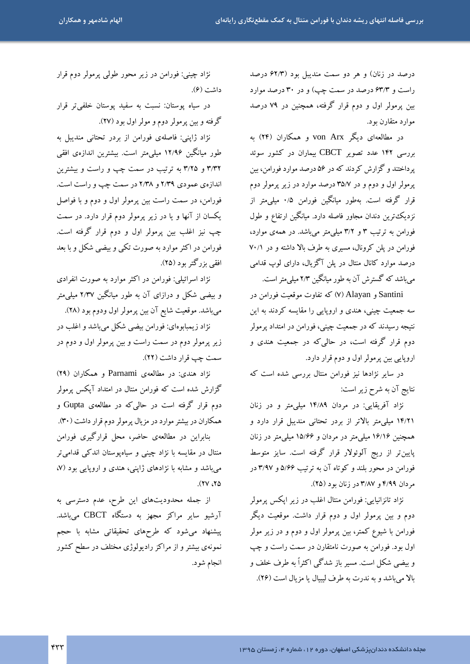درصد در زنان) و هر دو سمت مندیبل بود (۶۲/۳ درصد راست و ۶۳/۳ درصد در سمت چپ) و در ۳۰ درصد موارد بین پرمولر اول و دوم قرار گرفته، همچنین در ۷۹ درصد موارد متقارن بود.

در مطالعهای دیگر von Arx و همکاران (۲۴) به بررسی ۱۴۲ عدد تصویر CBCT بیماران در کشور سوئد پرداختند و گزارش کردند که در ۵۶ درصد موارد فورامن، بین پرمولر اول و دوم و در ۳۵/۷ درصد موارد در زیر پرمولر دوم قرار گرفته است. بهطور میانگین فورامن ۰/۵ میلیمتر از نزدیک ترین دندان مجاور فاصله دارد. میانگین ارتفاع و طول فورامن به ترتیب ۳ و ۳/۲ میلی متر می باشد. در همهی موارد، فورامن در پلن کرونال، مسیری به طرف بالا داشته و در ۷۰/۱ درصد موارد کانال منتال در پلن آگزیال، دارای لوپ قدامی می باشد که گسترش آن به طور میانگین ۲/۳ میلی متر است.

Santini و Alayan) که تفاوت موقعیت فورامن در سه جمعیت چینی، هندی و اروپایی را مقایسه کردند به این نتیجه رسیدند که در جمعیت چینی، فورامن در امتداد پرمولر دوم قرار گرفته است، در حالی که در جمعیت هندی و اروپایی بین پرمولر اول و دوم قرار دارد.

در سایر نژادها نیز فورامن منتال بررسی شده است که نتايج آن به شرح زير است:

نژاد آفریقایی: در مردان ۱۴/۸۹ میلی متر و در زنان ۱۴/۲۱ میلی متر بالاتر از بردر تحتانی مندیبل قرار دارد و همچنین ۱۶/۱۶ میلی متر در مردان و ۱۵/۶۶ میلی متر در زنان پایین تر از ریج آلوئولار قرار گرفته است. سایز متوسط فورامن در محور بلند و کوتاه آن به ترتیب ۵/۶۶ و ۳/۹۷ در مردان ۴/۹۹ و ۳/۸۷ در زنان بود (۲۵).

نژاد تانزانیایی: فورامن منتال اغلب در زیر ایکس پرمولر دوم و بین پرمولر اول و دوم قرار داشت. موقعیت دیگر فورامن با شیوع کمتر، بین پرمولر اول و دوم و در زیر مولر اول بود. فورامن به صورت نامتقارن در سمت راست و چپ و بیضی شکل است. مسیر باز شدگی اکثراً به طرف خلف و بالا مي باشد و به ندرت به طرف ليبيال يا مزيال است (٢۶).

نژاد چینی: فورامن در زیر محور طولبی پرمولر دوم قرار داشت (۶).

در سیاه پوستان: نسبت به سفید پوستان خلفیتر قرار گرفته و بین پرمولر دوم و مولر اول بود (۲۷).

نژاد ژاپنی: فاصلهی فورامن از بردر تحتانی مندیبل به طور میانگین ۱۲/۹۶ میلیمتر است. بیشترین اندازهی افقی ۳/۳۲ و ۳/۲۵ به ترتیب در سمت چپ و راست و بیشترین اندازهی عمودی ۲/۳۹ و ۲/۳۸ در سمت چپ و راست است. فورامن، در سمت راست بین پرمولر اول و دوم و با فواصل یکسان از آنها و یا در زیر پرمولر دوم قرار دارد. در سمت چپ نیز اغلب بین پرمولر اول و دوم قرار گرفته است. فورامن در اکثر موارد به صورت تکی و بیضی شکل و با بعد افقي بزرگتر بود (٢۵).

نژاد اسرائیلی: فورامن در اکثر موارد به صورت انفرادی و بیضی شکل و درازای آن به طور میانگین ۲/۳۷ میلی متر میباشد. موقعیت شایع آن بین پرمولر اول ودوم بود (۲۸).

نژاد زیمبابوهای: فورامن بیضی شکل میباشد و اغلب در زیر پرمولر دوم در سمت راست و بین پرمولر اول و دوم در سمت چپ قرار داشت (٢٢).

نژاد هندي: در مطالعهي Parnami و همکاران (٢٩) گزارش شده است که فورامن منتال در امتداد آیکس پرمولر دوم قرار گرفته است در حال<sub>ی</sub>که در مطالعهی Gupta و همکاران در بیشتر موارد در مزیال پرمولر دوم قرار داشت (۳۰).

بنابراین در مطالعهی حاضر، محل قرارگیری فورامن منتال در مقایسه با نژاد چینی و سیاهپوستان اندکی قدامی تر می باشد و مشابه با نژادهای ژاپنی، هندی و اروپایی بود (۷،  $(11)$ 

از جمله محدودیتهای این طرح، عدم دسترسی به آرشیو سایر مراکز مجهز به دستگاه CBCT میباشد. پیشنهاد می شود که طرحهای تحقیقاتی مشابه با حجم نمونهی بیشتر و از مراکز رادیولوژی مختلف در سطح کشور انجام شود.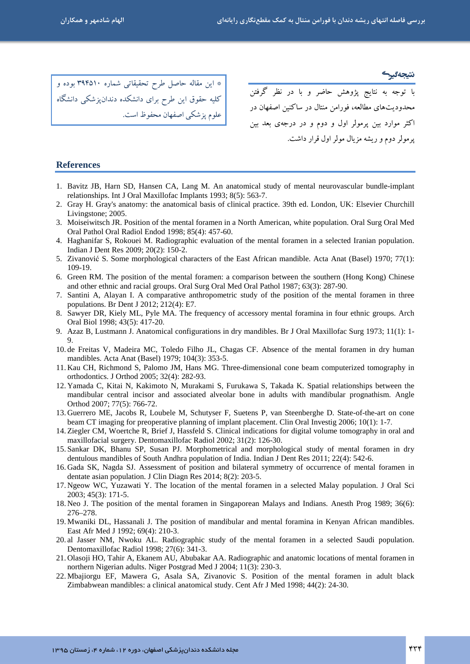\* این مقاله حاصل طرح تحقیقاتی شماره ۳۹۴۵۱۰ بوده و <mark>کلیه حقوق این طرح برای دانشکده دندانپزشکی دانشگاه</mark> |<br>| علوم پزشکی اصفهان محفوظ است.

.<br>با توجه به نتایج پژوهش حاضر و با در نظر گرفتن محدودیتهای مطالعه، فورامن منتال در ساکنین اصفهان در اکثر موارد بین پرمولر اول و دوم و در درجهی بعد بین یرمولر دوم و ریشه مزیال مولر اول قرار داشت.

#### **References**

- 1. Bavitz JB, Harn SD, Hansen CA, Lang M, An anatomical study of mental neurovascular bundle-implant relationships. Int J Oral Maxillofac Implants 1993; 8(5): 563-7.
- 2. Gray H. Gray's anatomy: the anatomical basis of clinical practice. 39th ed. London, UK: Elsevier Churchill Livingstone; 2005.
- 3. Moiseiwitsch JR. Position of the mental foramen in a North American, white population. Oral Surg Oral Med Oral Pathol Oral Radiol Endod 1998; 85(4): 457-60.
- 4. Haghanifar S, Rokouei M. Radiographic evaluation of the mental foramen in a selected Iranian population. Indian J Dent Res 2009; 20(2): 150-2.
- 5. Zivanović S. Some morphological characters of the East African mandible. Acta Anat (Basel) 1970; 77(1): 109-19.
- 6. Green RM. The position of the mental foramen: a comparison between the southern (Hong Kong) Chinese and other ethnic and racial groups. Oral Surg Oral Med Oral Pathol 1987; 63(3): 287-90.
- 7. Santini A, Alayan I. A comparative anthropometric study of the position of the mental foramen in three populations. Br Dent J 2012; 212(4): E7.
- 8. Sawyer DR, Kiely ML, Pyle MA. The frequency of accessory mental foramina in four ethnic groups. Arch Oral Biol 1998; 43(5): 417-20.
- 9. Azaz B, Lustmann J. Anatomical configurations in dry mandibles. Br J Oral Maxillofac Surg 1973; 11(1): 1-
- 10. de Freitas V, Madeira MC, Toledo Filho JL, Chagas CF. Absence of the mental foramen in dry human mandibles. Acta Anat (Basel) 1979; 104(3): 353-5.
- 11. Kau CH, Richmond S, Palomo JM, Hans MG. Three-dimensional cone beam computerized tomography in orthodontics. J Orthod 2005; 32(4): 282-93.
- 12. Yamada C, Kitai N, Kakimoto N, Murakami S, Furukawa S, Takada K. Spatial relationships between the mandibular central incisor and associated alveolar bone in adults with mandibular prognathism. Angle Orthod 2007; 77(5): 766-72.
- 13. Guerrero ME, Jacobs R, Loubele M, Schutyser F, Suetens P, van Steenberghe D. State-of-the-art on cone beam CT imaging for preoperative planning of implant placement. Clin Oral Investig  $2006$ ;  $10(1)$ : 1-7.
- 14. Ziegler CM, Woertche R, Brief J, Hassfeld S. Clinical indications for digital volume tomography in oral and maxillofacial surgery. Dentomaxillofac Radiol 2002; 31(2): 126-30.
- 15. Sankar DK, Bhanu SP, Susan PJ. Morphometrical and morphological study of mental foramen in dry dentulous mandibles of South Andhra population of India. Indian J Dent Res 2011; 22(4): 542-6.
- 16. Gada SK, Nagda SJ. Assessment of position and bilateral symmetry of occurrence of mental foramen in dentate asian population. J Clin Diagn Res 2014; 8(2): 203-5.
- 17. Ngeow WC, Yuzawati Y. The location of the mental foramen in a selected Malay population. J Oral Sci 2003; 45(3): 171-5.
- 18. Neo J. The position of the mental foramen in Singaporean Malays and Indians. Anesth Prog 1989; 36(6): 276-278.
- 19. Mwaniki DL, Hassanali J. The position of mandibular and mental foramina in Kenyan African mandibles. East Afr Med J 1992; 69(4): 210-3.
- 20. al Jasser NM, Nwoku AL. Radiographic study of the mental foramen in a selected Saudi population. Dentomaxillofac Radiol 1998; 27(6): 341-3.
- 21. Olasoji HO, Tahir A, Ekanem AU, Abubakar AA. Radiographic and anatomic locations of mental foramen in northern Nigerian adults. Niger Postgrad Med J 2004; 11(3): 230-3.
- 22. Mbajiorgu EF, Mawera G, Asala SA, Zivanovic S. Position of the mental foramen in adult black Zimbabwean mandibles: a clinical anatomical study. Cent Afr J Med 1998; 44(2): 24-30.

مجله دانشکده دندانپزشکی اصفهان، دوره ۱۲، شماره ۴، زمستان ۱۳۹۵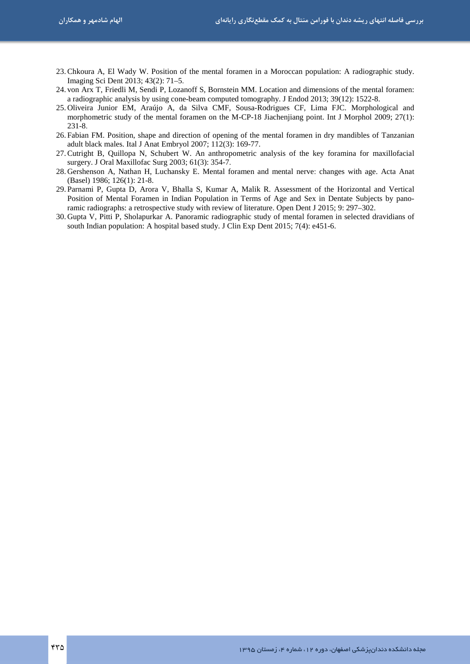- 23.Chkoura A, El Wady W. Position of the mental foramen in a Moroccan population: A radiographic study. Imaging Sci Dent 2013; 43(2): 71–5.
- 24. von Arx T, Friedli M, Sendi P, Lozanoff S, Bornstein MM. Location and dimensions of the mental foramen: a radiographic analysis by using cone-beam computed tomography. J Endod 2013; 39(12): 1522-8.
- 25. Oliveira Junior EM, Araújo A, da Silva CMF, Sousa-Rodrigues CF, Lima FJC. Morphological and morphometric study of the mental foramen on the M-CP-18 Jiachenjiang point. Int J Morphol 2009; 27(1): 231-8.
- 26. Fabian FM. Position, shape and direction of opening of the mental foramen in dry mandibles of Tanzanian adult black males. Ital J Anat Embryol 2007; 112(3): 169-77.
- 27.Cutright B, Quillopa N, Schubert W. An anthropometric analysis of the key foramina for maxillofacial surgery. J Oral Maxillofac Surg 2003; 61(3): 354-7.
- 28. Gershenson A, Nathan H, Luchansky E. Mental foramen and mental nerve: changes with age. Acta Anat (Basel) 1986; 126(1): 21-8.
- 29. Parnami P, Gupta D, Arora V, Bhalla S, Kumar A, Malik R. Assessment of the Horizontal and Vertical Position of Mental Foramen in Indian Population in Terms of Age and Sex in Dentate Subjects by panoramic radiographs: a retrospective study with review of literature. Open Dent J 2015; 9: 297–302.
- 30. Gupta V, Pitti P, Sholapurkar A. Panoramic radiographic study of mental foramen in selected dravidians of south Indian population: A hospital based study. J Clin Exp Dent 2015; 7(4): e451-6.